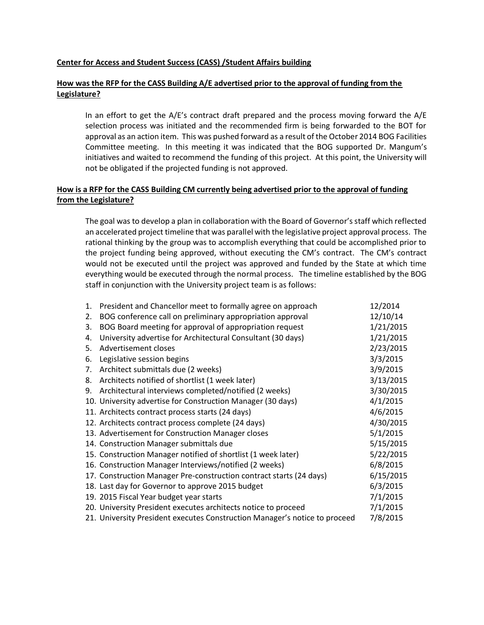#### **Center for Access and Student Success (CASS) /Student Affairs building**

## **How was the RFP for the CASS Building A/E advertised prior to the approval of funding from the Legislature?**

In an effort to get the A/E's contract draft prepared and the process moving forward the A/E selection process was initiated and the recommended firm is being forwarded to the BOT for approval as an action item. This was pushed forward as a result of the October 2014 BOG Facilities Committee meeting. In this meeting it was indicated that the BOG supported Dr. Mangum's initiatives and waited to recommend the funding of this project. At this point, the University will not be obligated if the projected funding is not approved.

## **How is a RFP for the CASS Building CM currently being advertised prior to the approval of funding from the Legislature?**

The goal was to develop a plan in collaboration with the Board of Governor's staff which reflected an accelerated project timeline that was parallel with the legislative project approval process. The rational thinking by the group was to accomplish everything that could be accomplished prior to the project funding being approved, without executing the CM's contract. The CM's contract would not be executed until the project was approved and funded by the State at which time everything would be executed through the normal process. The timeline established by the BOG staff in conjunction with the University project team is as follows:

| 1. | President and Chancellor meet to formally agree on approach                | 12/2014   |
|----|----------------------------------------------------------------------------|-----------|
| 2. | BOG conference call on preliminary appropriation approval                  | 12/10/14  |
| 3. | BOG Board meeting for approval of appropriation request                    | 1/21/2015 |
| 4. | University advertise for Architectural Consultant (30 days)                | 1/21/2015 |
| 5. | Advertisement closes                                                       | 2/23/2015 |
| 6. | Legislative session begins                                                 | 3/3/2015  |
| 7. | Architect submittals due (2 weeks)                                         | 3/9/2015  |
| 8. | Architects notified of shortlist (1 week later)                            | 3/13/2015 |
| 9. | Architectural interviews completed/notified (2 weeks)                      | 3/30/2015 |
|    | 10. University advertise for Construction Manager (30 days)                | 4/1/2015  |
|    | 11. Architects contract process starts (24 days)                           | 4/6/2015  |
|    | 12. Architects contract process complete (24 days)                         | 4/30/2015 |
|    | 13. Advertisement for Construction Manager closes                          | 5/1/2015  |
|    | 14. Construction Manager submittals due                                    | 5/15/2015 |
|    | 15. Construction Manager notified of shortlist (1 week later)              | 5/22/2015 |
|    | 16. Construction Manager Interviews/notified (2 weeks)                     | 6/8/2015  |
|    | 17. Construction Manager Pre-construction contract starts (24 days)        | 6/15/2015 |
|    | 18. Last day for Governor to approve 2015 budget                           | 6/3/2015  |
|    | 19. 2015 Fiscal Year budget year starts                                    | 7/1/2015  |
|    | 20. University President executes architects notice to proceed             | 7/1/2015  |
|    | 21. University President executes Construction Manager's notice to proceed | 7/8/2015  |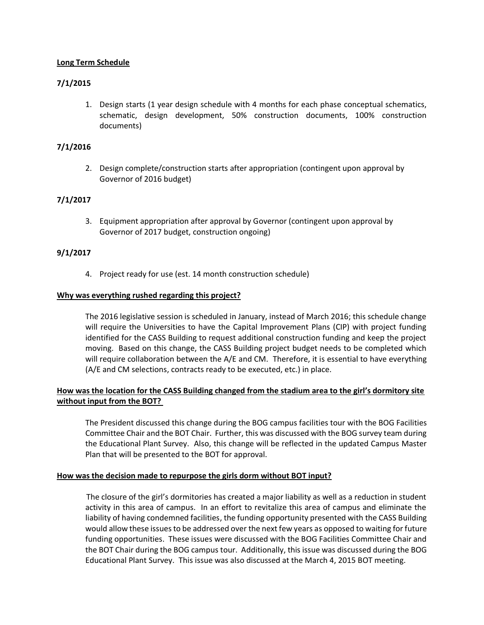## **Long Term Schedule**

# **7/1/2015**

1. Design starts (1 year design schedule with 4 months for each phase conceptual schematics, schematic, design development, 50% construction documents, 100% construction documents)

## **7/1/2016**

2. Design complete/construction starts after appropriation (contingent upon approval by Governor of 2016 budget)

# **7/1/2017**

3. Equipment appropriation after approval by Governor (contingent upon approval by Governor of 2017 budget, construction ongoing)

## **9/1/2017**

4. Project ready for use (est. 14 month construction schedule)

## **Why was everything rushed regarding this project?**

The 2016 legislative session is scheduled in January, instead of March 2016; this schedule change will require the Universities to have the Capital Improvement Plans (CIP) with project funding identified for the CASS Building to request additional construction funding and keep the project moving. Based on this change, the CASS Building project budget needs to be completed which will require collaboration between the A/E and CM. Therefore, it is essential to have everything (A/E and CM selections, contracts ready to be executed, etc.) in place.

# **How was the location for the CASS Building changed from the stadium area to the girl's dormitory site without input from the BOT?**

The President discussed this change during the BOG campus facilities tour with the BOG Facilities Committee Chair and the BOT Chair. Further, this was discussed with the BOG survey team during the Educational Plant Survey. Also, this change will be reflected in the updated Campus Master Plan that will be presented to the BOT for approval.

#### **How was the decision made to repurpose the girls dorm without BOT input?**

The closure of the girl's dormitories has created a major liability as well as a reduction in student activity in this area of campus. In an effort to revitalize this area of campus and eliminate the liability of having condemned facilities, the funding opportunity presented with the CASS Building would allow these issues to be addressed over the next few years as opposed to waiting for future funding opportunities. These issues were discussed with the BOG Facilities Committee Chair and the BOT Chair during the BOG campus tour. Additionally, this issue was discussed during the BOG Educational Plant Survey. This issue was also discussed at the March 4, 2015 BOT meeting.